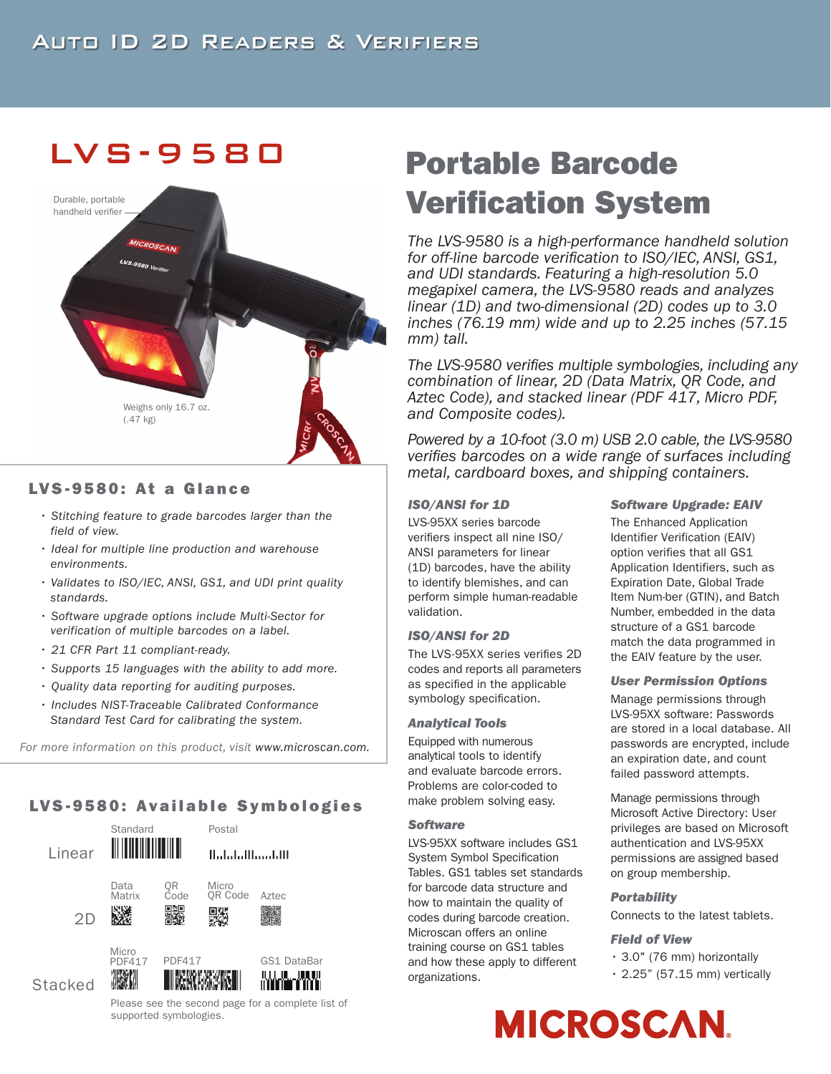## LVS -9580



## LVS-9580: At a Glance

- *• Stitching feature to grade barcodes larger than the field of view.*
- *Ideal for multiple line production and warehouse environments.*
- *Validates to ISO/IEC, ANSI, GS1, and UDI print quality standards.*
- *Software upgrade options include Multi-Sector for verification of multiple barcodes on a label.*
- *21 CFR Part 11 compliant-ready.*
- *Supports 15 languages with the ability to add more.*
- *Quality data reporting for auditing purposes.*
- *Includes NIST-Traceable Calibrated Conformance Standard Test Card for calibrating the system.*

*For more information on this product, visit www.microscan.com.*

## LVS-9580: Available Symbologies



Please see the second page for a complete list of supported symbologies.

# Portable Barcode Verification System

*The LVS-9580 is a high-performance handheld solution for off-line barcode verification to ISO/IEC, ANSI, GS1, and UDI standards. Featuring a high-resolution 5.0 megapixel camera, the LVS-9580 reads and analyzes linear (1D) and two-dimensional (2D) codes up to 3.0 inches (76.19 mm) wide and up to 2.25 inches (57.15 mm) tall.*

*The LVS-9580 verifies multiple symbologies, including any combination of linear, 2D (Data Matrix, QR Code, and Aztec Code), and stacked linear (PDF 417, Micro PDF, and Composite codes).*

*Powered by a 10-foot (3.0 m) USB 2.0 cable, the LVS-9580 verifies barcodes on a wide range of surfaces including metal, cardboard boxes, and shipping containers.*

## *ISO/ANSI for 1D*

LVS-95XX series barcode verifiers inspect all nine ISO/ ANSI parameters for linear (1D) barcodes, have the ability to identify blemishes, and can perform simple human-readable validation.

## *ISO/ANSI for 2D*

The LVS-95XX series verifies 2D codes and reports all parameters as specified in the applicable symbology specification.

#### *Analytical Tools*

Equipped with numerous analytical tools to identify and evaluate barcode errors. Problems are color-coded to make problem solving easy.

#### *Software*

LVS-95XX software includes GS1 System Symbol Specification Tables. GS1 tables set standards for barcode data structure and how to maintain the quality of codes during barcode creation. Microscan offers an online training course on GS1 tables and how these apply to different organizations.

#### *Software Upgrade: EAIV*

The Enhanced Application Identifier Verification (EAIV) option verifies that all GS1 Application Identifiers, such as Expiration Date, Global Trade Item Num-ber (GTIN), and Batch Number, embedded in the data structure of a GS1 barcode match the data programmed in the EAIV feature by the user.

## *User Permission Options*

Manage permissions through LVS-95XX software: Passwords are stored in a local database. All passwords are encrypted, include an expiration date, and count failed password attempts.

Manage permissions through Microsoft Active Directory: User privileges are based on Microsoft authentication and LVS-95XX permissions are assigned based on group membership.

## *Portability*

Connects to the latest tablets.

## *Field of View*

- 3.0" (76 mm) horizontally
	- $\cdot$  2.25" (57.15 mm) vertically